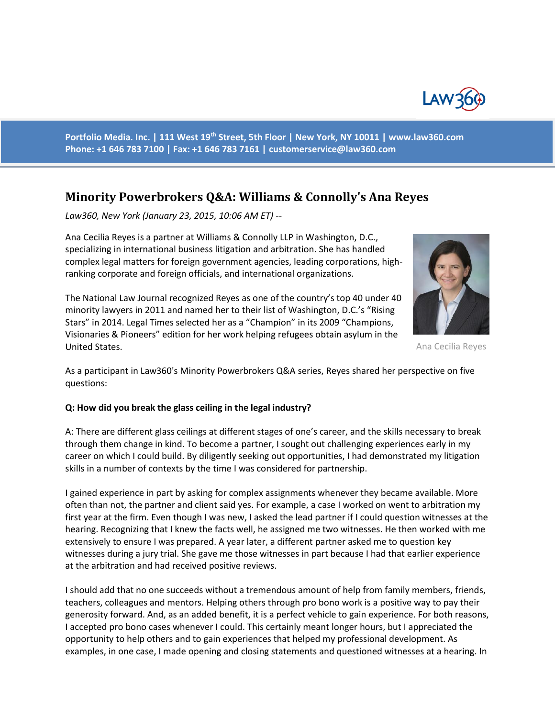

**Portfolio Media. Inc. | 111 West 19th Street, 5th Floor | New York, NY 10011 | www.law360.com Phone: +1 646 783 7100 | Fax: +1 646 783 7161 | [customerservice@law360.com](mailto:customerservice@law360.com)**

# **Minority Powerbrokers Q&A: Williams & Connolly's Ana Reyes**

*Law360, New York (January 23, 2015, 10:06 AM ET) --*

Ana Cecilia Reyes is a partner at Williams & Connolly LLP in Washington, D.C., specializing in international business litigation and arbitration. She has handled complex legal matters for foreign government agencies, leading corporations, highranking corporate and foreign officials, and international organizations.



Ana Cecilia Reyes

The National Law Journal recognized Reyes as one of the country's top 40 under 40 minority lawyers in 2011 and named her to their list of Washington, D.C.'s "Rising Stars" in 2014. Legal Times selected her as a "Champion" in its 2009 "Champions, Visionaries & Pioneers" edition for her work helping refugees obtain asylum in the United States.

As a participant in Law360's Minority Powerbrokers Q&A series, Reyes shared her perspective on five questions:

## **Q: How did you break the glass ceiling in the legal industry?**

A: There are different glass ceilings at different stages of one's career, and the skills necessary to break through them change in kind. To become a partner, I sought out challenging experiences early in my career on which I could build. By diligently seeking out opportunities, I had demonstrated my litigation skills in a number of contexts by the time I was considered for partnership.

I gained experience in part by asking for complex assignments whenever they became available. More often than not, the partner and client said yes. For example, a case I worked on went to arbitration my first year at the firm. Even though I was new, I asked the lead partner if I could question witnesses at the hearing. Recognizing that I knew the facts well, he assigned me two witnesses. He then worked with me extensively to ensure I was prepared. A year later, a different partner asked me to question key witnesses during a jury trial. She gave me those witnesses in part because I had that earlier experience at the arbitration and had received positive reviews.

I should add that no one succeeds without a tremendous amount of help from family members, friends, teachers, colleagues and mentors. Helping others through pro bono work is a positive way to pay their generosity forward. And, as an added benefit, it is a perfect vehicle to gain experience. For both reasons, I accepted pro bono cases whenever I could. This certainly meant longer hours, but I appreciated the opportunity to help others and to gain experiences that helped my professional development. As examples, in one case, I made opening and closing statements and questioned witnesses at a hearing. In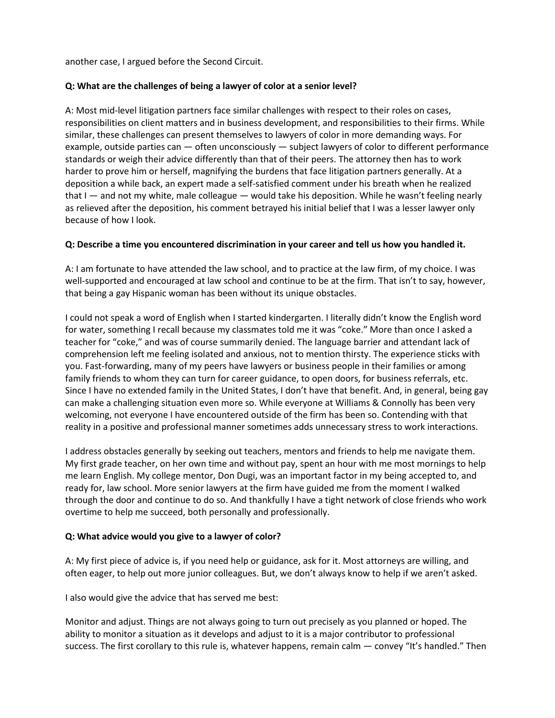another case, I argued before the Second Circuit.

## **Q: What are the challenges of being a lawyer of color at a senior level?**

A: Most mid-level litigation partners face similar challenges with respect to their roles on cases, responsibilities on client matters and in business development, and responsibilities to their firms. While similar, these challenges can present themselves to lawyers of color in more demanding ways. For example, outside parties can — often unconsciously — subject lawyers of color to different performance standards or weigh their advice differently than that of their peers. The attorney then has to work harder to prove him or herself, magnifying the burdens that face litigation partners generally. At a deposition a while back, an expert made a self-satisfied comment under his breath when he realized that I — and not my white, male colleague — would take his deposition. While he wasn't feeling nearly as relieved after the deposition, his comment betrayed his initial belief that I was a lesser lawyer only because of how I look.

## **Q: Describe a time you encountered discrimination in your career and tell us how you handled it.**

A: I am fortunate to have attended the law school, and to practice at the law firm, of my choice. I was well-supported and encouraged at law school and continue to be at the firm. That isn't to say, however, that being a gay Hispanic woman has been without its unique obstacles.

I could not speak a word of English when I started kindergarten. I literally didn't know the English word for water, something I recall because my classmates told me it was "coke." More than once I asked a teacher for "coke," and was of course summarily denied. The language barrier and attendant lack of comprehension left me feeling isolated and anxious, not to mention thirsty. The experience sticks with you. Fast-forwarding, many of my peers have lawyers or business people in their families or among family friends to whom they can turn for career guidance, to open doors, for business referrals, etc. Since I have no extended family in the United States, I don't have that benefit. And, in general, being gay can make a challenging situation even more so. While everyone at Williams & Connolly has been very welcoming, not everyone I have encountered outside of the firm has been so. Contending with that reality in a positive and professional manner sometimes adds unnecessary stress to work interactions.

I address obstacles generally by seeking out teachers, mentors and friends to help me navigate them. My first grade teacher, on her own time and without pay, spent an hour with me most mornings to help me learn English. My college mentor, Don Dugi, was an important factor in my being accepted to, and ready for, law school. More senior lawyers at the firm have guided me from the moment I walked through the door and continue to do so. And thankfully I have a tight network of close friends who work overtime to help me succeed, both personally and professionally.

## **Q: What advice would you give to a lawyer of color?**

A: My first piece of advice is, if you need help or guidance, ask for it. Most attorneys are willing, and often eager, to help out more junior colleagues. But, we don't always know to help if we aren't asked.

I also would give the advice that has served me best:

Monitor and adjust. Things are not always going to turn out precisely as you planned or hoped. The ability to monitor a situation as it develops and adjust to it is a major contributor to professional success. The first corollary to this rule is, whatever happens, remain calm — convey "It's handled." Then